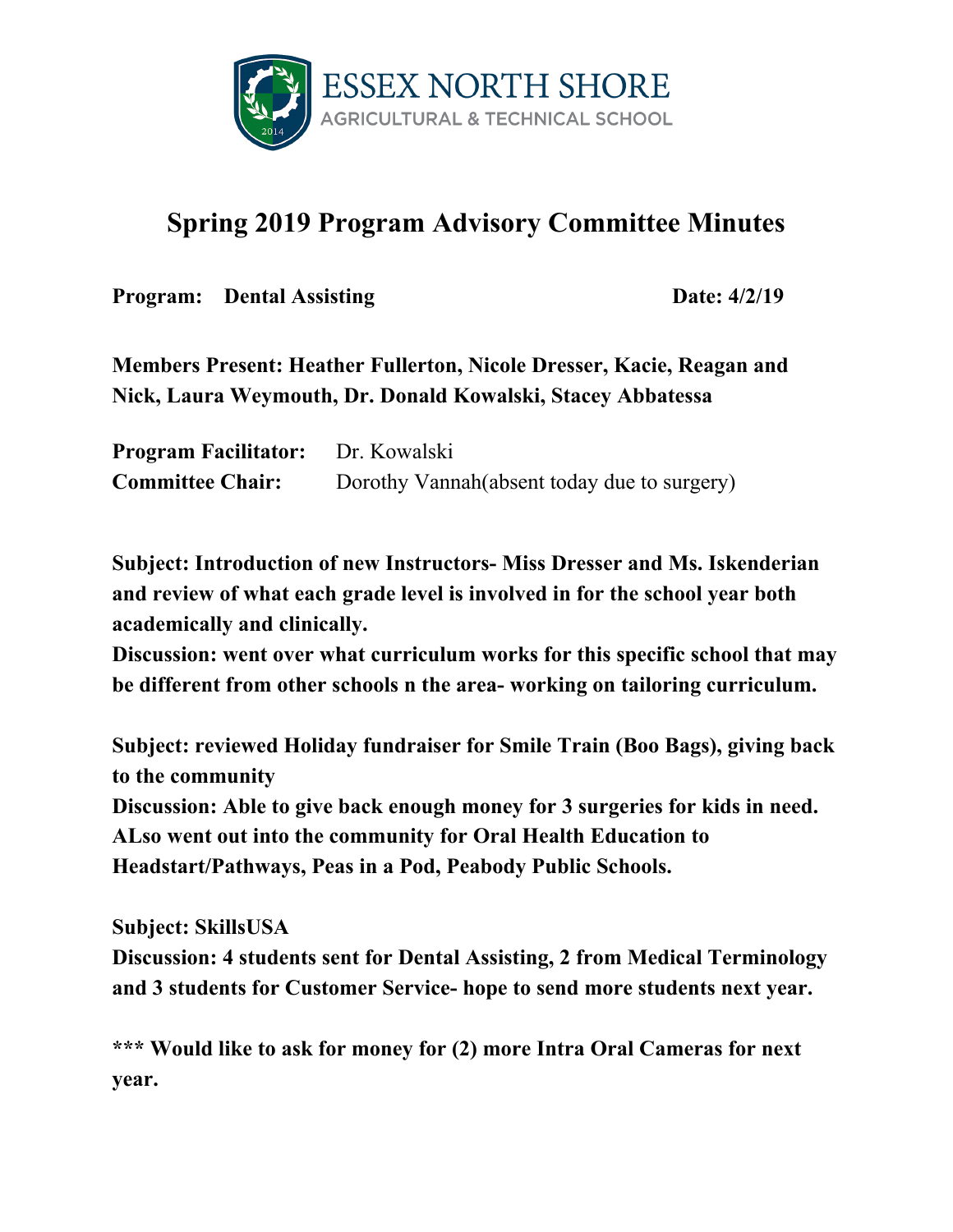

## **Spring 2019 Program Advisory Committee Minutes**

**Program:** Dental Assisting Date:  $4/2/19$ 

**Members Present: Heather Fullerton, Nicole Dresser, Kacie, Reagan and Nick, Laura Weymouth, Dr. Donald Kowalski, Stacey Abbatessa**

**Program Facilitator:** Dr. Kowalski **Committee Chair:** Dorothy Vannah(absent today due to surgery)

**Subject: Introduction of new Instructors- Miss Dresser and Ms. Iskenderian and review of what each grade level is involved in for the school year both academically and clinically.**

**Discussion: went over what curriculum works for this specific school that may be different from other schools n the area- working on tailoring curriculum.**

**Subject: reviewed Holiday fundraiser for Smile Train (Boo Bags), giving back to the community**

**Discussion: Able to give back enough money for 3 surgeries for kids in need. ALso went out into the community for Oral Health Education to Headstart/Pathways, Peas in a Pod, Peabody Public Schools.**

**Subject: SkillsUSA**

**Discussion: 4 students sent for Dental Assisting, 2 from Medical Terminology and 3 students for Customer Service- hope to send more students next year.**

**\*\*\* Would like to ask for money for (2) more Intra Oral Cameras for next year.**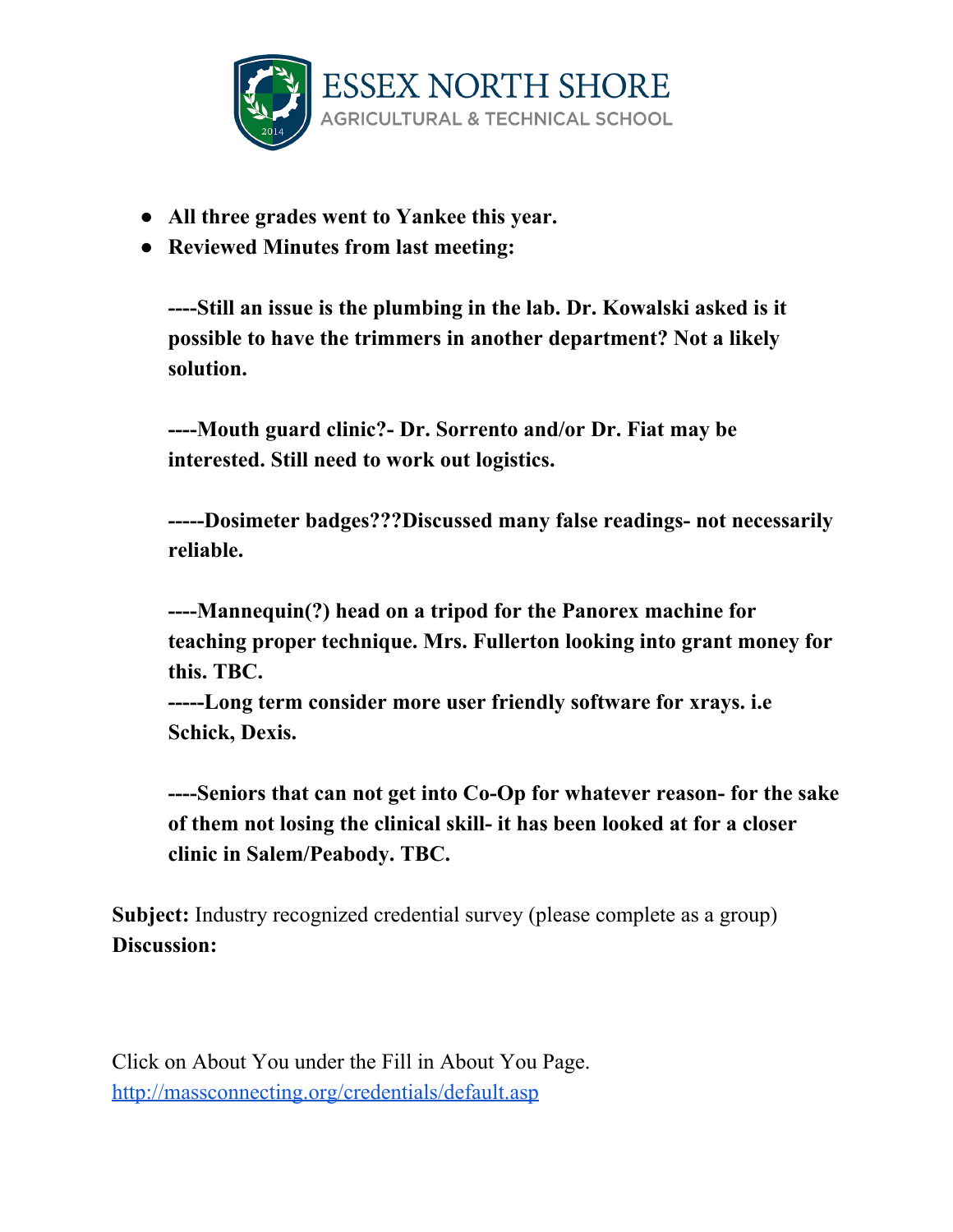

- **● All three grades went to Yankee this year.**
- **● Reviewed Minutes from last meeting:**

**----Still an issue is the plumbing in the lab. Dr. Kowalski asked is it possible to have the trimmers in another department? Not a likely solution.**

**----Mouth guard clinic?- Dr. Sorrento and/or Dr. Fiat may be interested. Still need to work out logistics.**

**-----Dosimeter badges???Discussed many false readings- not necessarily reliable.**

**----Mannequin(?) head on a tripod for the Panorex machine for teaching proper technique. Mrs. Fullerton looking into grant money for this. TBC.**

**-----Long term consider more user friendly software for xrays. i.e Schick, Dexis.**

**----Seniors that can not get into Co-Op for whatever reason- for the sake of them not losing the clinical skill- it has been looked at for a closer clinic in Salem/Peabody. TBC.**

**Subject:** Industry recognized credential survey (please complete as a group) **Discussion:**